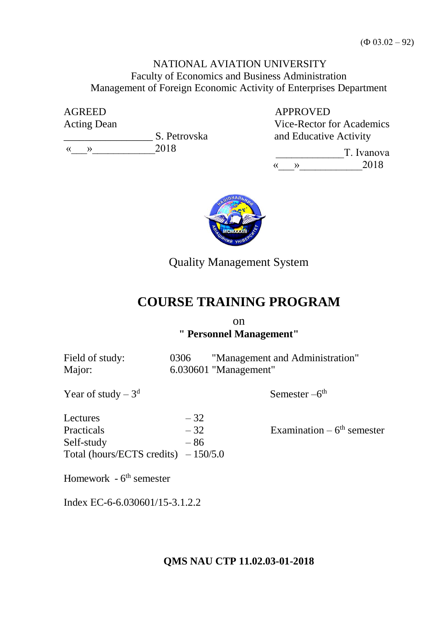# NATIONAL AVIATION UNIVERSITY Faculty of Economics and Business Administration Management of Foreign Economic Activity of Enterprises Department

AGREED Acting Dean

**S. Petrovska**  $\langle \langle \rangle \rangle$  2018

 APPROVED Vice-Rector for Academics and Educative Activity

T. Ivanova  $\langle \langle \rangle \rangle$  2018



Quality Management System

# **COURSE TRAINING PROGRAM**

### on **" Personnel Management"**

Field of study: 0306 "Management and Administration" Major: 6.030601 "Management"

Semester  $-6<sup>th</sup>$ 

Year of study  $-3<sup>d</sup>$ 

Lectures  $-32$ Practicals  $-32$  Examination –  $6<sup>th</sup>$  semester Self-study  $-86$ Total (hours/ECTS credits)  $-150/5.0$ 

Homework - 6<sup>th</sup> semester

Index ЕC-6-6.030601/15-3.1.2.2

## **QMS NAU CTP 11.02.03-01-2018**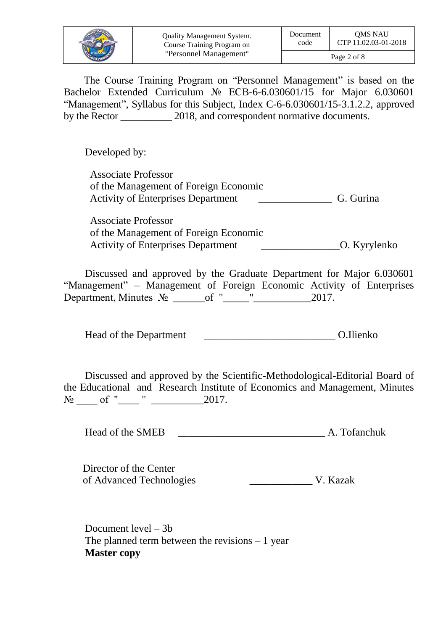|                             | <b>Quality Management System.</b> | Document    | <b>OMS NAU</b>       |  |
|-----------------------------|-----------------------------------|-------------|----------------------|--|
|                             | Course Training Program on        | code        | CTP 11.02.03-01-2018 |  |
| <b><i>ELITHIN VHIBE</i></b> | "Personnel Management"            | Page 2 of 8 |                      |  |

The Course Training Program on "Personnel Management" is based on the Bachelor Extended Curriculum № ЕСB-6-6.030601/15 for Major 6.030601 "Management", Syllabus for this Subject, Index C-6-6.030601/15-3.1.2.2, approved by the Rector 2018, and correspondent normative documents.

Developed by:

Associate Professor of the Management of Foreign Economic Activity of Enterprises Department G. Gurina

Associate Professor of the Management of Foreign Economic Activity of Enterprises Department \_\_\_\_\_\_\_\_\_\_\_\_\_\_\_O. Kyrylenko

Discussed and approved by the Graduate Department for Major 6.030601 "Management" – Management of Foreign Economic Activity of Enterprises Department, Minutes № \_\_\_\_\_\_of "\_\_\_\_\_"\_\_\_\_\_\_\_\_\_\_\_2017.

Head of the Department \_\_\_\_\_\_\_\_\_\_\_\_\_\_\_\_\_\_\_\_\_\_\_\_\_ O.Ilienko

Discussed and approved by the Scientific-Methodological-Editorial Board of the Educational and Research Institute of Economics and Management, Minutes  $N_2$  of " " 2017.

Head of the SMEB **A. Tofanchuk** 

Director of the Center of Advanced Technologies \_\_\_\_\_\_\_\_\_\_\_\_ V. Kazak

Document level – 3b The planned term between the revisions  $-1$  year **Master copy**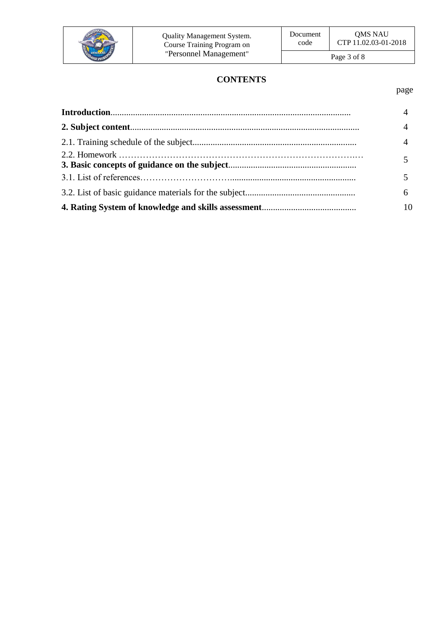

# **CONTENTS**

page

| $\overline{4}$ |
|----------------|
| $\overline{4}$ |
| $\overline{4}$ |
|                |
|                |
| 6              |
| 10             |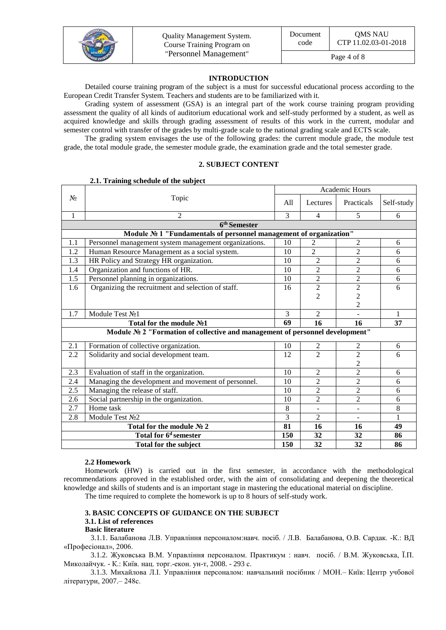

#### **INTRODUCTION**

Detailed course training program of the subject is a must for successful educational process according to the European Credit Transfer System. Teachers and students are to be familiarized with it.

Grading system of assessment (GSA) is an integral part of the work course training program providing assessment the quality of all kinds of auditorium educational work and self-study performed by a student, as well as acquired knowledge and skills through grading assessment of results of this work in the current, modular and semester control with transfer of the grades by multi-grade scale to the national grading scale and ECTS scale.

The grading system envisages the use of the following grades: the current module grade, the module test grade, the total module grade, the semester module grade, the examination grade and the total semester grade.

#### **2. SUBJECT CONTENT**

|              | 2.1. I raining schedule of the subject                                       | Academic Hours |                |                |              |
|--------------|------------------------------------------------------------------------------|----------------|----------------|----------------|--------------|
|              |                                                                              |                |                |                |              |
| $N_2$        | Topic                                                                        | A11            | Lectures       | Practicals     | Self-study   |
| $\mathbf{1}$ | $\overline{2}$                                                               | 3              | $\overline{4}$ | 5              | 6            |
|              | 6 <sup>th</sup> Semester                                                     |                |                |                |              |
|              | Module № 1 "Fundamentals of personnel management of organization"            |                |                |                |              |
| 1.1          | Personnel management system management organizations.                        | 10             | 2              | $\overline{2}$ | 6            |
| 1.2          | Human Resource Management as a social system.                                | 10             | $\mathfrak{D}$ | $\overline{2}$ | 6            |
| 1.3          | HR Policy and Strategy HR organization.                                      | 10             | $\overline{2}$ | $\overline{2}$ | 6            |
| 1.4          | Organization and functions of HR.                                            | 10             | $\overline{2}$ | $\overline{2}$ | 6            |
| 1.5          | Personnel planning in organizations.                                         | 10             | $\overline{2}$ | $\overline{2}$ | 6            |
| 1.6          | Organizing the recruitment and selection of staff.                           | 16             | $\overline{2}$ | $\overline{c}$ | 6            |
|              |                                                                              |                | $\overline{2}$ | $\overline{c}$ |              |
|              |                                                                              |                |                | $\overline{2}$ |              |
| 1.7          | Module Test No1                                                              | 3              | $\overline{2}$ |                | $\mathbf{1}$ |
|              | Total for the module No1                                                     | 69             | 16             | 16             | 37           |
|              | Module № 2 "Formation of collective and management of personnel development" |                |                |                |              |
| 2.1          | Formation of collective organization.                                        | 10             | $\sqrt{2}$     | 2              | 6            |
| 2.2          | Solidarity and social development team.                                      | 12             | $\overline{2}$ | $\overline{2}$ | 6            |
|              |                                                                              |                |                | $\overline{2}$ |              |
| 2.3          | Evaluation of staff in the organization.                                     | 10             | 2              | $\overline{2}$ | 6            |
| 2.4          | Managing the development and movement of personnel.                          | 10             | $\overline{2}$ | $\overline{2}$ | 6            |
| 2.5          | Managing the release of staff.                                               | 10             | 2              | $\overline{c}$ | 6            |
| 2.6          | Social partnership in the organization.                                      | 10             | 2              | $\overline{2}$ | 6            |
| 2.7          | Home task                                                                    | 8              |                | $\blacksquare$ | 8            |
| 2.8          | Module Test No2                                                              | 3              | $\overline{c}$ | ÷,             | 1            |
|              | Total for the module № 2                                                     | 81             | 16             | 16             | 49           |
|              | Total for 6 <sup>d</sup> semester                                            | 150            | 32             | 32             | 86           |
|              | <b>Total for the subject</b>                                                 | 150            | 32             | 32             | 86           |

#### **2.1. Training schedule of the subject**

#### **2.2 Homework**

Homework (HW) is carried out in the first semester, in accordance with the methodological recommendations approved in the established order, with the aim of consolidating and deepening the theoretical knowledge and skills of students and is an important stage in mastering the educational material on discipline.

The time required to complete the homework is up to 8 hours of self-study work.

### **3. BASIC CONCEPTS OF GUIDANCE ON THE SUBJECT**

### **3.1. List of references**

### **Basic literature**

3.1.1. Балабанова Л.В. Управління персоналом:навч. посіб. / Л.В. Балабанова, О.В. Сардак. -К.: ВД «Професіонал», 2006.

3.1.2. Жуковська В.М. Управління персоналом. Практикум : навч. посіб. / В.М. Жуковська, Ї.П. Миколайчук. - К.: Київ. нац. торг.-екон. ун-т, 2008. - 293 с.

3.1.3. [Михайлова Л.І. Управління персоналом: навчальний посібник / МОН.–](http://www.lib.nau.edu.ua/search/Details.aspx?id=173601&lang=uk-UA) Київ: Центр учбової [літератури,](http://www.lib.nau.edu.ua/search/Details.aspx?id=173601&lang=uk-UA) 2007.– 248с.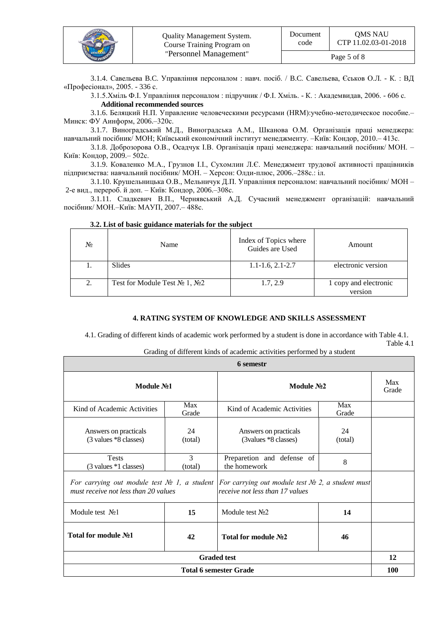|  | <b>Quality Management System.</b><br>Course Training Program on<br>"Personnel Management"<br><b><i>EUGHUN VHIBE</i></b> | Document<br>code | <b>OMS NAU</b><br>CTP 11.02.03-01-2018 |
|--|-------------------------------------------------------------------------------------------------------------------------|------------------|----------------------------------------|
|  |                                                                                                                         | Page 5 of 8      |                                        |

3.1.4. Савельева B.C. Управління персоналом : навч. посіб. / B.C. Савельева, Єськов О.Л. - К. : ВД «Професіонал», 2005. - 336 с.

3.1.5.Хміль Ф.І. Управління персоналом : підручник / Ф.І. Хміль. - К. : Академвидав, 2006. - 606 с. **Additional recommended sources**

[3.1.6. Беляцкий Н.П. Управление человеческими ресурсами \(HRM\):учебно-методическое пособие.–](http://www.lib.nau.edu.ua/search/Details.aspx?id=153566&lang=uk-UA) Минск: [ФУ Аинформ,](http://www.lib.nau.edu.ua/search/Details.aspx?id=153566&lang=uk-UA) 2006.–320с.

3.1.7. [Виноградський М.Д., Виноградська А.М., Шканова О.М. Організація праці менеджера:](http://www.lib.nau.edu.ua/search/Details.aspx?id=225980&lang=uk-UA)  навчальний посібник/ [МОН; Київський економічний інститут менеджменту.](http://www.lib.nau.edu.ua/search/Details.aspx?id=225980&lang=uk-UA) –Київ: Кондор, 2010.– 413с.

3.1.8. [Доброзорова О.В., Осадчук І.В. Організація праці менеджера: навчальний посібник/](http://www.lib.nau.edu.ua/search/Details.aspx?id=209775&lang=uk-UA) МОН. – Київ: [Кондор,](http://www.lib.nau.edu.ua/search/Details.aspx?id=209775&lang=uk-UA) 2009.– 502с.

3.1.9. [Коваленко М.А., Грузнов І.І., Сухомлин Л.Є. Менеджмент трудової активності працівників](http://www.lib.nau.edu.ua/search/Details.aspx?id=191882&lang=uk-UA)  [підприємства: навчальний посібник/](http://www.lib.nau.edu.ua/search/Details.aspx?id=191882&lang=uk-UA) МОН. – Херсон: Олди-плюс, 2006.–288с.: іл.

3.1.10. [Крушельницька О.В., Мельничук Д.П. Управління персоналом: навчальний посібник/](http://www.lib.nau.edu.ua/search/Details.aspx?id=172691&lang=uk-UA) МОН – [2-е вид., перероб. й доп. –](http://www.lib.nau.edu.ua/search/Details.aspx?id=172691&lang=uk-UA) Київ: Кондор, 2006.–308с.

3.1.11. [Сладкевич В.П., Чернявський А.Д. Сучасний менеджмент організацій: навчальний](http://www.lib.nau.edu.ua/search/Details.aspx?id=178264&lang=uk-UA)  посібник/ [МОН.–Київ:](http://www.lib.nau.edu.ua/search/Details.aspx?id=178264&lang=uk-UA) МАУП, 2007.– 488с.

| No | Name                                  | Index of Topics where<br>Guides are Used | Amount                           |
|----|---------------------------------------|------------------------------------------|----------------------------------|
|    | <b>Slides</b>                         | $1.1 - 1.6$ , $2.1 - 2.7$                | electronic version               |
|    | Test for Module Test $N_2$ 1, $N_2$ 2 | 1.7, 2.9                                 | 1 copy and electronic<br>version |

#### **3.2. List of basic guidance materials for the subject**

#### **4. RATING SYSTEM OF KNOWLEDGE AND SKILLS ASSESSMENT**

4.1. Grading of different kinds of academic work performed by a student is done in accordance with Table 4.1. Table 4.1

Grading of different kinds of academic activities performed by a student

| 6 semestr                                                                                                                                    |               |                                               |               |              |  |
|----------------------------------------------------------------------------------------------------------------------------------------------|---------------|-----------------------------------------------|---------------|--------------|--|
| Module No1                                                                                                                                   |               | Module No <sub>2</sub>                        |               | Max<br>Grade |  |
| Max<br>Kind of Academic Activities<br>Grade                                                                                                  |               | Kind of Academic Activities                   | Max<br>Grade  |              |  |
| Answers on practicals<br>(3 values *8 classes)                                                                                               | 24<br>(total) | Answers on practicals<br>(3values *8 classes) | 24<br>(total) |              |  |
| <b>Tests</b><br>$(3 \text{ values } *1 \text{ classes})$                                                                                     | 3<br>(total)  | Preparetion and defense of<br>the homework    | 8             |              |  |
| For carrying out module test $N_2$ 1, a student For carrying out module test $N_2$ 2, a student must<br>must receive not less than 20 values |               | receive not less than 17 values               |               |              |  |
| Module test $N21$                                                                                                                            | 15            | Module test $N2$                              | 14            |              |  |
| Total for module No1<br>42                                                                                                                   |               | Total for module No2                          | 46            |              |  |
| <b>Graded test</b>                                                                                                                           |               |                                               |               | 12           |  |
| <b>Total 6 semester Grade</b>                                                                                                                |               |                                               |               | 100          |  |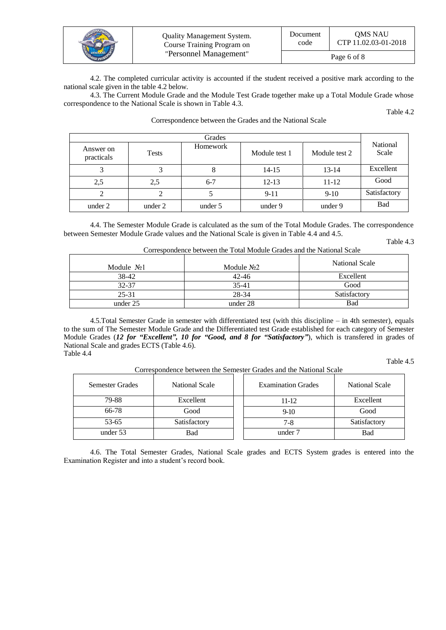|                             | Quality Management System. | Document    | <b>OMS NAU</b>       |
|-----------------------------|----------------------------|-------------|----------------------|
|                             | Course Training Program on | code        | CTP 11.02.03-01-2018 |
| <b><i>EIGHHAN VHIBE</i></b> | "Personnel Management"     | Page 6 of 8 |                      |

4.2. The completed curricular activity is accounted if the student received a positive mark according to the national scale given in the table 4.2 below.

4.3. The Current Module Grade and the Module Test Grade together make up a Total Module Grade whose correspondence to the National Scale is shown in Table 4.3.

Grades National Answer on Tests Tomework Module test 1 Module test 2 Scale Answer on Tests<br>
Tests Homework Module test 1 Module test 2 3 3 3 8 14-15 13-14 Excellent 2,5 2,5 6-7 12-13 11-12 Good 2 2 2 5 9-11 9-10 Satisfactory under 2 under 2 under 5 under 9 under 9 Bad

Correspondence between the Grades and the National Scale

4.4. The Semester Module Grade is calculated as the sum of the Total Module Grades. The correspondence between Semester Module Grade values and the National Scale is given in Table 4.4 and 4.5.

Table 4.3

Table 4.2

| Correspondence between the Total Module Grades and the National Scale |             |                |  |  |  |
|-----------------------------------------------------------------------|-------------|----------------|--|--|--|
| Module $N21$                                                          | Module $N2$ | National Scale |  |  |  |
| 38-42                                                                 | $42 - 46$   | Excellent      |  |  |  |
| 32-37                                                                 | $35-41$     | Good           |  |  |  |
| $25 - 31$                                                             | 28-34       | Satisfactory   |  |  |  |
| under 25                                                              | under 28    | Bad            |  |  |  |

4.5.Total Semester Grade in semester with differentiated test (with this discipline – in 4th semester), equals to the sum of The Semester Module Grade and the Differentiated test Grade established for each category of Semester Module Grades (*12 for "Excellent", 10 for "Good, and 8 for "Satisfactory"*), which is transfered in grades of National Scale and grades ECTS (Table 4.6). Table 4.4

Table 4.5

Correspondence between the Semester Grades and the National Scale

| Semester Grades | National Scale | <b>Examination Grades</b> | National Scale |
|-----------------|----------------|---------------------------|----------------|
| 79-88           | Excellent      | 11-12                     | Excellent      |
| 66-78           | Good           | $9-10$                    | Good           |
| 53-65           | Satisfactory   | $7 - 8$                   | Satisfactory   |
| under 53        | <b>Bad</b>     | under 7                   | Bad            |

4.6. The Total Semester Grades, National Scale grades and ECTS System grades is entered into the Examination Register and into a student's record book.

| ---     | $7 - 10$ | Dational via |
|---------|----------|--------------|
| under 9 | under 9  |              |
|         |          |              |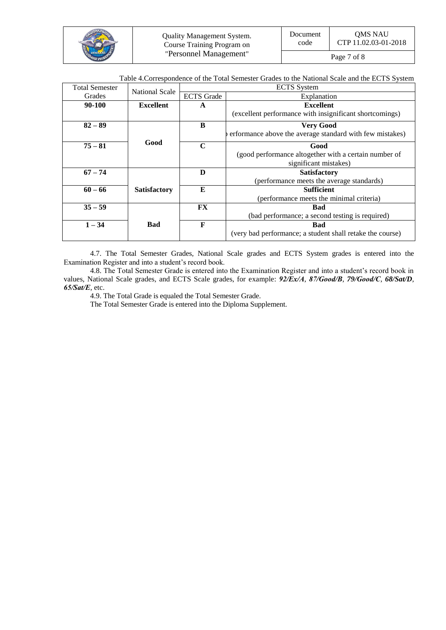|  | Quality Management System.<br>Course Training Program on<br>"Personnel Management"<br><b>KENT</b> | Document<br>code | <b>OMS NAU</b><br>CTP 11.02.03-01-2018 |
|--|---------------------------------------------------------------------------------------------------|------------------|----------------------------------------|
|  |                                                                                                   | Page 7 of 8      |                                        |

Table 4.Correspondence of the Total Semester Grades to the National Scale and the ECTS System

| <b>Total Semester</b> | <b>National Scale</b> | <b>ECTS</b> System    |                                                           |  |
|-----------------------|-----------------------|-----------------------|-----------------------------------------------------------|--|
| Grades                |                       | <b>ECTS</b> Grade     | Explanation                                               |  |
| 90-100                | <b>Excellent</b>      | <b>Excellent</b><br>A |                                                           |  |
|                       |                       |                       | (excellent performance with insignificant shortcomings)   |  |
| $82 - 89$             |                       | B                     | <b>Very Good</b>                                          |  |
|                       |                       |                       | erformance above the average standard with few mistakes)  |  |
| $75 - 81$             | Good                  | $\mathbf C$           | Good                                                      |  |
|                       |                       |                       | (good performance altogether with a certain number of     |  |
|                       |                       |                       | significant mistakes)                                     |  |
| $67 - 74$             |                       | D                     | <b>Satisfactory</b>                                       |  |
|                       |                       |                       | (performance meets the average standards)                 |  |
| $60 - 66$             | <b>Satisfactory</b>   | E                     | <b>Sufficient</b>                                         |  |
|                       |                       |                       | (performance meets the minimal criteria)                  |  |
| $35 - 59$             |                       | <b>FX</b>             | Bad                                                       |  |
|                       |                       |                       | (bad performance; a second testing is required)           |  |
| $1 - 34$              | Bad                   | F                     | <b>Bad</b>                                                |  |
|                       |                       |                       | (very bad performance; a student shall retake the course) |  |

4.7. The Total Semester Grades, National Scale grades and ECTS System grades is entered into the Examination Register and into a student's record book.

4.8. The Total Semester Grade is entered into the Examination Register and into a student's record book in values, National Scale grades, and ECTS Scale grades, for example: *92/Ex/А*, *87/Good/В*, *79/Good/С*, *68/Sat/D*, *65/Sat/Е*, etc.

4.9. The Total Grade is equaled the Total Semester Grade.

The Total Semester Grade is entered into the Diploma Supplement.